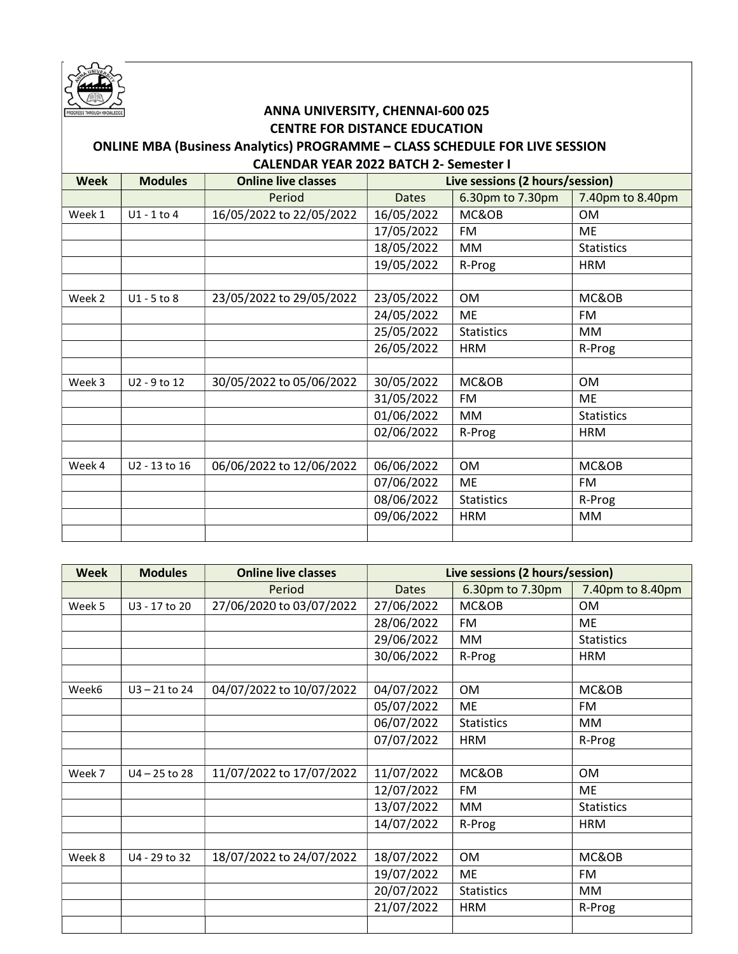

## ANNA UNIVERSITY, CHENNAI-600 025 CENTRE FOR DISTANCE EDUCATION

## ONLINE MBA (Business Analytics) PROGRAMME – CLASS SCHEDULE FOR LIVE SESSION

CALENDAR YEAR 2022 BATCH 2- Semester I

| Week   | <b>Modules</b> | <b>Online live classes</b> | Live sessions (2 hours/session) |                   |                   |
|--------|----------------|----------------------------|---------------------------------|-------------------|-------------------|
|        |                | Period                     | <b>Dates</b>                    | 6.30pm to 7.30pm  | 7.40pm to 8.40pm  |
| Week 1 | $U1 - 1$ to 4  | 16/05/2022 to 22/05/2022   | 16/05/2022                      | MC&OB             | <b>OM</b>         |
|        |                |                            | 17/05/2022                      | FM                | ME                |
|        |                |                            | 18/05/2022                      | MM                | <b>Statistics</b> |
|        |                |                            | 19/05/2022                      | R-Prog            | <b>HRM</b>        |
|        |                |                            |                                 |                   |                   |
| Week 2 | $U1 - 5$ to 8  | 23/05/2022 to 29/05/2022   | 23/05/2022                      | <b>OM</b>         | MC&OB             |
|        |                |                            | 24/05/2022                      | <b>ME</b>         | <b>FM</b>         |
|        |                |                            | 25/05/2022                      | <b>Statistics</b> | МM                |
|        |                |                            | 26/05/2022                      | <b>HRM</b>        | R-Prog            |
|        |                |                            |                                 |                   |                   |
| Week 3 | U2 - 9 to 12   | 30/05/2022 to 05/06/2022   | 30/05/2022                      | MC&OB             | <b>OM</b>         |
|        |                |                            | 31/05/2022                      | FM                | ME                |
|        |                |                            | 01/06/2022                      | МM                | <b>Statistics</b> |
|        |                |                            | 02/06/2022                      | R-Prog            | <b>HRM</b>        |
|        |                |                            |                                 |                   |                   |
| Week 4 | U2 - 13 to 16  | 06/06/2022 to 12/06/2022   | 06/06/2022                      | 0M                | MC&OB             |
|        |                |                            | 07/06/2022                      | <b>ME</b>         | <b>FM</b>         |
|        |                |                            | 08/06/2022                      | <b>Statistics</b> | R-Prog            |
|        |                |                            | 09/06/2022                      | <b>HRM</b>        | МM                |
|        |                |                            |                                 |                   |                   |

| <b>Week</b> | <b>Modules</b>  | <b>Online live classes</b> | Live sessions (2 hours/session) |                   |                   |
|-------------|-----------------|----------------------------|---------------------------------|-------------------|-------------------|
|             |                 | Period                     | <b>Dates</b>                    | 6.30pm to 7.30pm  | 7.40pm to 8.40pm  |
| Week 5      | U3 - 17 to 20   | 27/06/2020 to 03/07/2022   | 27/06/2022                      | MC&OB             | <b>OM</b>         |
|             |                 |                            | 28/06/2022                      | FM                | <b>ME</b>         |
|             |                 |                            | 29/06/2022                      | MM                | <b>Statistics</b> |
|             |                 |                            | 30/06/2022                      | R-Prog            | <b>HRM</b>        |
|             |                 |                            |                                 |                   |                   |
| Week6       | $U3 - 21$ to 24 | 04/07/2022 to 10/07/2022   | 04/07/2022                      | OM                | MC&OB             |
|             |                 |                            | 05/07/2022                      | ME                | FM                |
|             |                 |                            | 06/07/2022                      | <b>Statistics</b> | МM                |
|             |                 |                            | 07/07/2022                      | <b>HRM</b>        | R-Prog            |
|             |                 |                            |                                 |                   |                   |
| Week 7      | $U4 - 25$ to 28 | 11/07/2022 to 17/07/2022   | 11/07/2022                      | MC&OB             | <b>OM</b>         |
|             |                 |                            | 12/07/2022                      | FM                | ME                |
|             |                 |                            | 13/07/2022                      | MM                | <b>Statistics</b> |
|             |                 |                            | 14/07/2022                      | R-Prog            | <b>HRM</b>        |
|             |                 |                            |                                 |                   |                   |
| Week 8      | U4 - 29 to 32   | 18/07/2022 to 24/07/2022   | 18/07/2022                      | <b>OM</b>         | MC&OB             |
|             |                 |                            | 19/07/2022                      | ME                | FM                |
|             |                 |                            | 20/07/2022                      | <b>Statistics</b> | МM                |
|             |                 |                            | 21/07/2022                      | <b>HRM</b>        | R-Prog            |
|             |                 |                            |                                 |                   |                   |